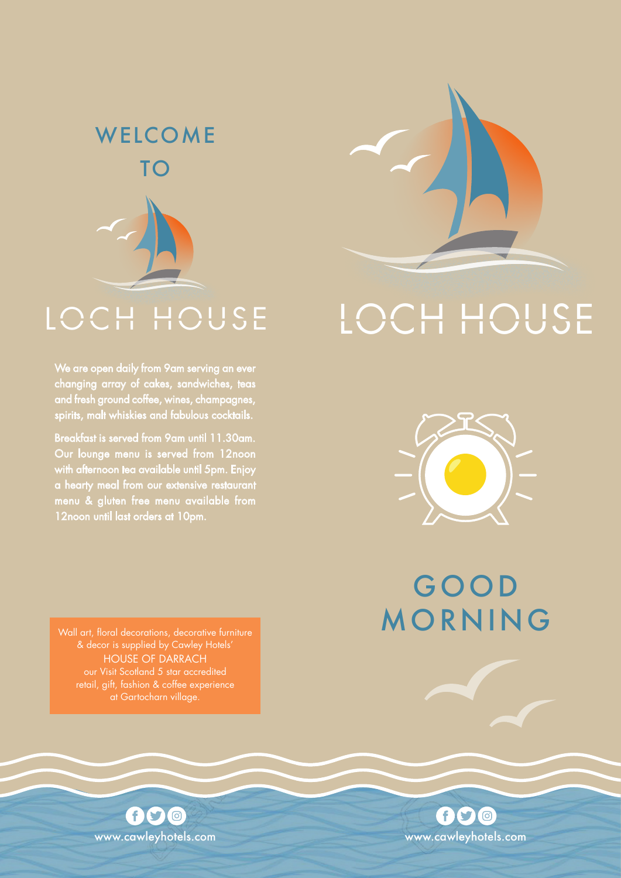# **WELCOME** TO



We are open daily from 9am serving an ever changing array of cakes, sandwiches, teas and fresh ground coffee, wines, champagnes, spirits, malt whiskies and fabulous cocktails.

Breakfast is served from 9am until 11.30am. Our lounge menu is served from 12noon with afternoon tea available until 5pm. Enjoy a hearty meal from our extensive restaurant menu & gluten free menu available from 12noon until last orders at 10pm.

# LOCH HOUSE LOCH HOUSE



GOOD MORNING

& decor is supplied by Cawley Hotels' HOUSE OF DARRACH our Visit Scotland 5 star accredited at Gartocharn village.